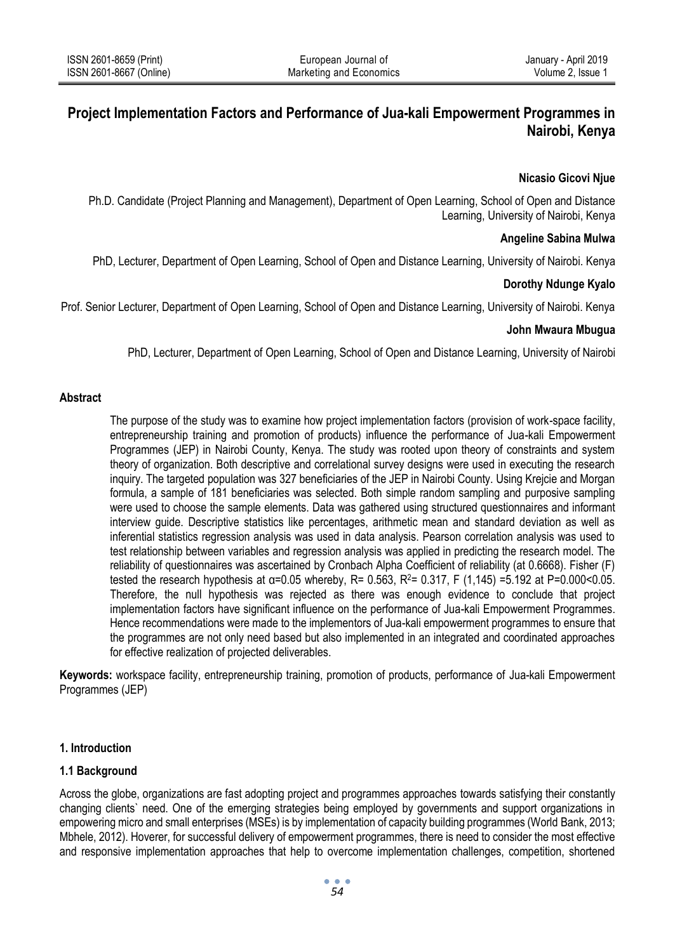# **Project Implementation Factors and Performance of Jua-kali Empowerment Programmes in Nairobi, Kenya**

#### **Nicasio Gicovi Njue**

Ph.D. Candidate (Project Planning and Management), Department of Open Learning, School of Open and Distance Learning, University of Nairobi, Kenya

#### **Angeline Sabina Mulwa**

PhD, Lecturer, Department of Open Learning, School of Open and Distance Learning, University of Nairobi. Kenya

## **Dorothy Ndunge Kyalo**

Prof. Senior Lecturer, Department of Open Learning, School of Open and Distance Learning, University of Nairobi. Kenya

#### **John Mwaura Mbugua**

PhD, Lecturer, Department of Open Learning, School of Open and Distance Learning, University of Nairobi

#### **Abstract**

The purpose of the study was to examine how project implementation factors (provision of work-space facility, entrepreneurship training and promotion of products) influence the performance of Jua-kali Empowerment Programmes (JEP) in Nairobi County, Kenya. The study was rooted upon theory of constraints and system theory of organization. Both descriptive and correlational survey designs were used in executing the research inquiry. The targeted population was 327 beneficiaries of the JEP in Nairobi County. Using Krejcie and Morgan formula, a sample of 181 beneficiaries was selected. Both simple random sampling and purposive sampling were used to choose the sample elements. Data was gathered using structured questionnaires and informant interview guide. Descriptive statistics like percentages, arithmetic mean and standard deviation as well as inferential statistics regression analysis was used in data analysis. Pearson correlation analysis was used to test relationship between variables and regression analysis was applied in predicting the research model. The reliability of questionnaires was ascertained by Cronbach Alpha Coefficient of reliability (at 0.6668). Fisher (F) tested the research hypothesis at  $α=0.05$  whereby, R= 0.563, R<sup>2</sup>= 0.317, F (1,145) =5.192 at P=0.000<0.05. Therefore, the null hypothesis was rejected as there was enough evidence to conclude that project implementation factors have significant influence on the performance of Jua-kali Empowerment Programmes. Hence recommendations were made to the implementors of Jua-kali empowerment programmes to ensure that the programmes are not only need based but also implemented in an integrated and coordinated approaches for effective realization of projected deliverables.

**Keywords:** workspace facility, entrepreneurship training, promotion of products, performance of Jua-kali Empowerment Programmes (JEP)

## **1. Introduction**

## **1.1 Background**

Across the globe, organizations are fast adopting project and programmes approaches towards satisfying their constantly changing clients` need. One of the emerging strategies being employed by governments and support organizations in empowering micro and small enterprises (MSEs) is by implementation of capacity building programmes (World Bank, 2013; Mbhele, 2012). Hoverer, for successful delivery of empowerment programmes, there is need to consider the most effective and responsive implementation approaches that help to overcome implementation challenges, competition, shortened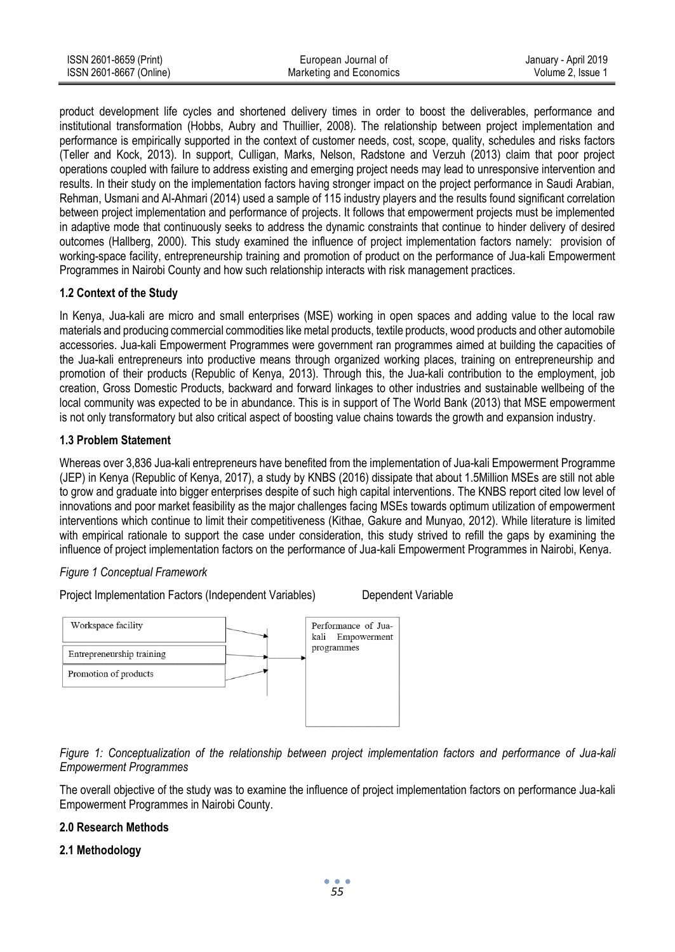| ISSN 2601-8659 (Print)  | European Journal of     | January - April 2019 |
|-------------------------|-------------------------|----------------------|
| ISSN 2601-8667 (Online) | Marketing and Economics | Volume 2. Issue 1    |

product development life cycles and shortened delivery times in order to boost the deliverables, performance and institutional transformation (Hobbs, Aubry and Thuillier, 2008). The relationship between project implementation and performance is empirically supported in the context of customer needs, cost, scope, quality, schedules and risks factors (Teller and Kock, 2013). In support, Culligan, Marks, Nelson, Radstone and Verzuh (2013) claim that poor project operations coupled with failure to address existing and emerging project needs may lead to unresponsive intervention and results. In their study on the implementation factors having stronger impact on the project performance in Saudi Arabian, Rehman, Usmani and Al-Ahmari (2014) used a sample of 115 industry players and the results found significant correlation between project implementation and performance of projects. It follows that empowerment projects must be implemented in adaptive mode that continuously seeks to address the dynamic constraints that continue to hinder delivery of desired outcomes (Hallberg, 2000). This study examined the influence of project implementation factors namely: provision of working-space facility, entrepreneurship training and promotion of product on the performance of Jua-kali Empowerment Programmes in Nairobi County and how such relationship interacts with risk management practices.

## **1.2 Context of the Study**

In Kenya, Jua-kali are micro and small enterprises (MSE) working in open spaces and adding value to the local raw materials and producing commercial commodities like metal products, textile products, wood products and other automobile accessories. Jua-kali Empowerment Programmes were government ran programmes aimed at building the capacities of the Jua-kali entrepreneurs into productive means through organized working places, training on entrepreneurship and promotion of their products (Republic of Kenya, 2013). Through this, the Jua-kali contribution to the employment, job creation, Gross Domestic Products, backward and forward linkages to other industries and sustainable wellbeing of the local community was expected to be in abundance. This is in support of The World Bank (2013) that MSE empowerment is not only transformatory but also critical aspect of boosting value chains towards the growth and expansion industry.

# **1.3 Problem Statement**

Whereas over 3,836 Jua-kali entrepreneurs have benefited from the implementation of Jua-kali Empowerment Programme (JEP) in Kenya (Republic of Kenya, 2017), a study by KNBS (2016) dissipate that about 1.5Million MSEs are still not able to grow and graduate into bigger enterprises despite of such high capital interventions. The KNBS report cited low level of innovations and poor market feasibility as the major challenges facing MSEs towards optimum utilization of empowerment interventions which continue to limit their competitiveness (Kithae, Gakure and Munyao, 2012). While literature is limited with empirical rationale to support the case under consideration, this study strived to refill the gaps by examining the influence of project implementation factors on the performance of Jua-kali Empowerment Programmes in Nairobi, Kenya.

# *Figure 1 Conceptual Framework*

Project Implementation Factors (Independent Variables) Dependent Variable



*Figure 1: Conceptualization of the relationship between project implementation factors and performance of Jua-kali Empowerment Programmes*

The overall objective of the study was to examine the influence of project implementation factors on performance Jua-kali Empowerment Programmes in Nairobi County.

## **2.0 Research Methods**

## **2.1 Methodology**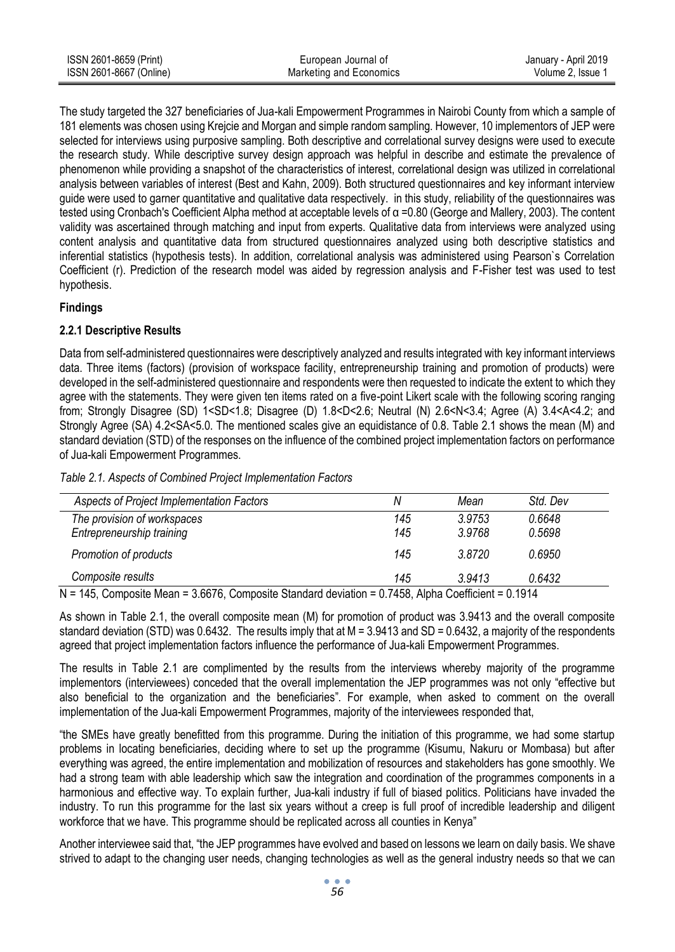| ISSN 2601-8659 (Print)  | European Journal of     | January - April 2019 |
|-------------------------|-------------------------|----------------------|
| ISSN 2601-8667 (Online) | Marketing and Economics | Volume 2. Issue 1    |

The study targeted the 327 beneficiaries of Jua-kali Empowerment Programmes in Nairobi County from which a sample of 181 elements was chosen using Krejcie and Morgan and simple random sampling. However, 10 implementors of JEP were selected for interviews using purposive sampling. Both descriptive and correlational survey designs were used to execute the research study. While descriptive survey design approach was helpful in describe and estimate the prevalence of phenomenon while providing a snapshot of the characteristics of interest, correlational design was utilized in correlational analysis between variables of interest (Best and Kahn, 2009). Both structured questionnaires and key informant interview guide were used to garner quantitative and qualitative data respectively. in this study, reliability of the questionnaires was tested using Cronbach's Coefficient Alpha method at acceptable levels of α =0.80 (George and Mallery, 2003). The content validity was ascertained through matching and input from experts. Qualitative data from interviews were analyzed using content analysis and quantitative data from structured questionnaires analyzed using both descriptive statistics and inferential statistics (hypothesis tests). In addition, correlational analysis was administered using Pearson`s Correlation Coefficient (r). Prediction of the research model was aided by regression analysis and F-Fisher test was used to test hypothesis.

## **Findings**

## **2.2.1 Descriptive Results**

Data from self-administered questionnaires were descriptively analyzed and results integrated with key informant interviews data. Three items (factors) (provision of workspace facility, entrepreneurship training and promotion of products) were developed in the self-administered questionnaire and respondents were then requested to indicate the extent to which they agree with the statements. They were given ten items rated on a five-point Likert scale with the following scoring ranging from; Strongly Disagree (SD) 1<SD<1.8; Disagree (D) 1.8<D<2.6; Neutral (N) 2.6<N<3.4; Agree (A) 3.4<A<4.2; and Strongly Agree (SA) 4.2<SA<5.0. The mentioned scales give an equidistance of 0.8. Table 2.1 shows the mean (M) and standard deviation (STD) of the responses on the influence of the combined project implementation factors on performance of Jua-kali Empowerment Programmes.

| Table 2.1. Aspects of Combined Project Implementation Factors |
|---------------------------------------------------------------|
|                                                               |

| Aspects of Project Implementation Factors | Ν   | Mean   | Std. Dev |
|-------------------------------------------|-----|--------|----------|
| The provision of workspaces               | 145 | 3.9753 | 0.6648   |
| Entrepreneurship training                 | 145 | 3.9768 | 0.5698   |
| Promotion of products                     | 145 | 3.8720 | 0.6950   |
| Composite results                         | 145 | 3.9413 | 0.6432   |

N = 145, Composite Mean = 3.6676, Composite Standard deviation = 0.7458, Alpha Coefficient = 0.1914

As shown in Table 2.1, the overall composite mean (M) for promotion of product was 3.9413 and the overall composite standard deviation (STD) was 0.6432. The results imply that at M = 3.9413 and SD = 0.6432, a majority of the respondents agreed that project implementation factors influence the performance of Jua-kali Empowerment Programmes.

The results in Table 2.1 are complimented by the results from the interviews whereby majority of the programme implementors (interviewees) conceded that the overall implementation the JEP programmes was not only "effective but also beneficial to the organization and the beneficiaries". For example, when asked to comment on the overall implementation of the Jua-kali Empowerment Programmes, majority of the interviewees responded that,

"the SMEs have greatly benefitted from this programme. During the initiation of this programme, we had some startup problems in locating beneficiaries, deciding where to set up the programme (Kisumu, Nakuru or Mombasa) but after everything was agreed, the entire implementation and mobilization of resources and stakeholders has gone smoothly. We had a strong team with able leadership which saw the integration and coordination of the programmes components in a harmonious and effective way. To explain further, Jua-kali industry if full of biased politics. Politicians have invaded the industry. To run this programme for the last six years without a creep is full proof of incredible leadership and diligent workforce that we have. This programme should be replicated across all counties in Kenya"

Another interviewee said that, "the JEP programmes have evolved and based on lessons we learn on daily basis. We shave strived to adapt to the changing user needs, changing technologies as well as the general industry needs so that we can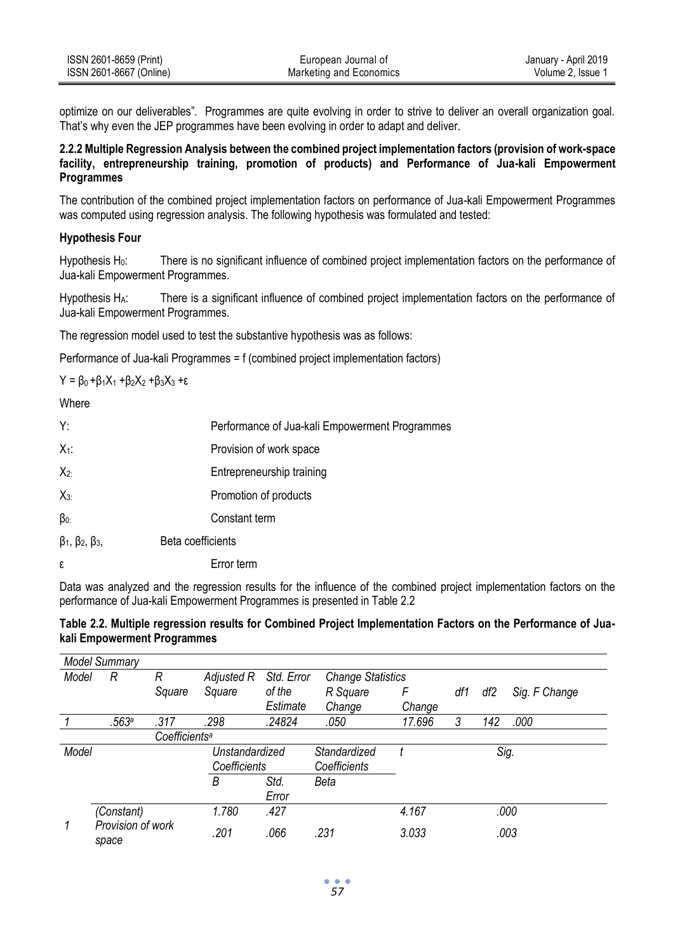| ISSN 2601-8659 (Print)  | European Journal of     | January - April 2019 |
|-------------------------|-------------------------|----------------------|
| ISSN 2601-8667 (Online) | Marketing and Economics | Volume 2. Issue 1    |

optimize on our deliverables". Programmes are quite evolving in order to strive to deliver an overall organization goal. That's why even the JEP programmes have been evolving in order to adapt and deliver.

#### **2.2.2 Multiple Regression Analysis between the combined project implementation factors (provision of work-space facility, entrepreneurship training, promotion of products) and Performance of Jua-kali Empowerment Programmes**

The contribution of the combined project implementation factors on performance of Jua-kali Empowerment Programmes was computed using regression analysis. The following hypothesis was formulated and tested:

#### **Hypothesis Four**

Hypothesis H<sub>0</sub>: There is no significant influence of combined project implementation factors on the performance of Jua-kali Empowerment Programmes.

Hypothesis H<sub>A</sub>: There is a significant influence of combined project implementation factors on the performance of Jua-kali Empowerment Programmes.

The regression model used to test the substantive hypothesis was as follows:

Performance of Jua-kali Programmes = f (combined project implementation factors)

 $Y = \beta_0 + \beta_1 X_1 + \beta_2 X_2 + \beta_3 X_3 + \epsilon$ 

**Where** 

| Y:                                  | Performance of Jua-kali Empowerment Programmes |
|-------------------------------------|------------------------------------------------|
| $X_1$ :                             | Provision of work space                        |
| $X_{2:}$                            | Entrepreneurship training                      |
| $X_{3}$                             | Promotion of products                          |
| $\beta_{0}$                         | Constant term                                  |
| $\beta_1$ , $\beta_2$ , $\beta_3$ , | Beta coefficients                              |
| ε                                   | Error term                                     |

Data was analyzed and the regression results for the influence of the combined project implementation factors on the performance of Jua-kali Empowerment Programmes is presented in Table 2.2

## **Table 2.2. Multiple regression results for Combined Project Implementation Factors on the Performance of Juakali Empowerment Programmes**

|       | <b>Model Summary</b>       |                           |                |            |                          |        |     |      |               |
|-------|----------------------------|---------------------------|----------------|------------|--------------------------|--------|-----|------|---------------|
| Model | R                          | R                         | Adjusted R     | Std. Error | <b>Change Statistics</b> |        |     |      |               |
|       |                            | Square                    | Square         | of the     | R Square                 | F      | df1 | df2  | Sig. F Change |
|       |                            |                           |                | Estimate   | Change                   | Change |     |      |               |
|       | .563a                      | .317                      | .298           | .24824     | .050                     | 17.696 | 3   | 142  | .000          |
|       |                            | Coefficients <sup>a</sup> |                |            |                          |        |     |      |               |
| Model |                            |                           | Unstandardized |            | Standardized             |        |     | Sig. |               |
|       |                            |                           | Coefficients   |            | Coefficients             |        |     |      |               |
|       |                            |                           | B              | Std.       | Beta                     |        |     |      |               |
|       |                            |                           |                | Error      |                          |        |     |      |               |
|       | (Constant)                 |                           | 1.780          | .427       |                          | 4.167  |     |      | .000          |
| 1     | Provision of work<br>space |                           | .201           | .066       | .231                     | 3.033  |     |      | .003          |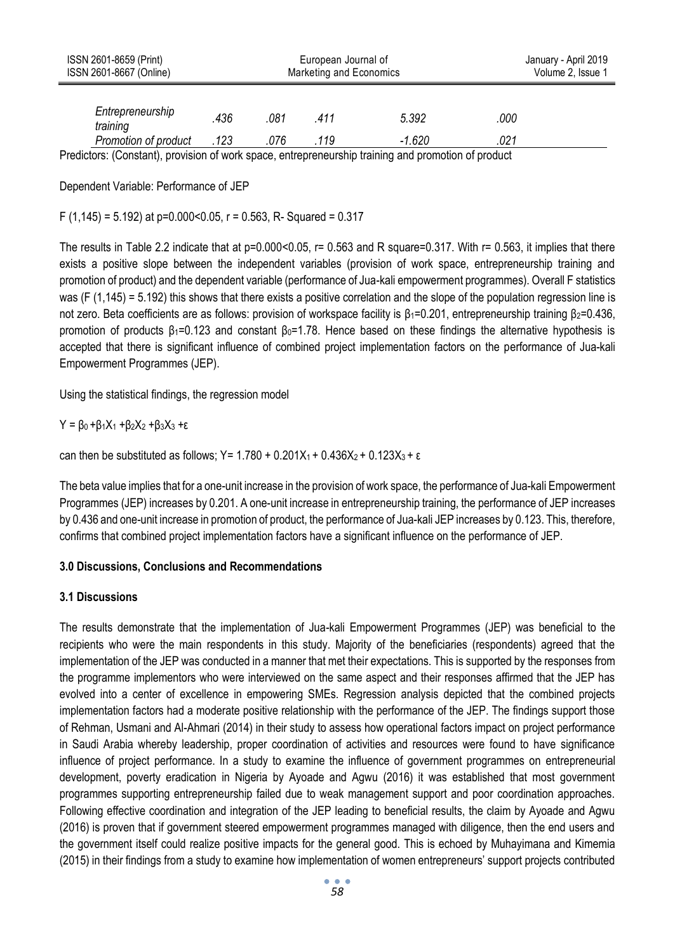| ISSN 2601-8659 (Print)<br>ISSN 2601-8667 (Online)                                                   | European Journal of<br>Marketing and Economics |      |      |          |      | January - April 2019<br>Volume 2, Issue 1 |
|-----------------------------------------------------------------------------------------------------|------------------------------------------------|------|------|----------|------|-------------------------------------------|
| Entrepreneurship<br>training                                                                        | .436                                           | .081 | .411 | 5.392    | .000 |                                           |
| Promotion of product                                                                                | .123                                           | .076 | .119 | $-1.620$ | .021 |                                           |
| Prodictors: (Constant), provision of work space, entrepreneurship training and promotion of product |                                                |      |      |          |      |                                           |

vision of work space, entrepreneurship training and promotion of p

Dependent Variable: Performance of JEP

F (1,145) = 5.192) at p=0.000<0.05, r = 0.563, R- Squared = 0.317

The results in Table 2.2 indicate that at  $p=0.000<0.05$ ,  $r= 0.563$  and R square=0.317. With  $r= 0.563$ , it implies that there exists a positive slope between the independent variables (provision of work space, entrepreneurship training and promotion of product) and the dependent variable (performance of Jua-kali empowerment programmes). Overall F statistics was (F (1,145) = 5.192) this shows that there exists a positive correlation and the slope of the population regression line is not zero. Beta coefficients are as follows: provision of workspace facility is β<sub>1</sub>=0.201, entrepreneurship training β<sub>2</sub>=0.436, promotion of products  $β_1=0.123$  and constant  $β_0=1.78$ . Hence based on these findings the alternative hypothesis is accepted that there is significant influence of combined project implementation factors on the performance of Jua-kali Empowerment Programmes (JEP).

Using the statistical findings, the regression model

$$
Y = \beta_0 + \beta_1 X_1 + \beta_2 X_2 + \beta_3 X_3 + \epsilon
$$

can then be substituted as follows; Y =  $1.780 + 0.201X_1 + 0.436X_2 + 0.123X_3 + ε$ 

The beta value implies that for a one-unit increase in the provision of work space, the performance of Jua-kali Empowerment Programmes (JEP) increases by 0.201. A one-unit increase in entrepreneurship training, the performance of JEP increases by 0.436 and one-unit increase in promotion of product, the performance of Jua-kali JEP increases by 0.123. This, therefore, confirms that combined project implementation factors have a significant influence on the performance of JEP.

## **3.0 Discussions, Conclusions and Recommendations**

#### **3.1 Discussions**

The results demonstrate that the implementation of Jua-kali Empowerment Programmes (JEP) was beneficial to the recipients who were the main respondents in this study. Majority of the beneficiaries (respondents) agreed that the implementation of the JEP was conducted in a manner that met their expectations. This is supported by the responses from the programme implementors who were interviewed on the same aspect and their responses affirmed that the JEP has evolved into a center of excellence in empowering SMEs. Regression analysis depicted that the combined projects implementation factors had a moderate positive relationship with the performance of the JEP. The findings support those of Rehman, Usmani and Al-Ahmari (2014) in their study to assess how operational factors impact on project performance in Saudi Arabia whereby leadership, proper coordination of activities and resources were found to have significance influence of project performance. In a study to examine the influence of government programmes on entrepreneurial development, poverty eradication in Nigeria by Ayoade and Agwu (2016) it was established that most government programmes supporting entrepreneurship failed due to weak management support and poor coordination approaches. Following effective coordination and integration of the JEP leading to beneficial results, the claim by Ayoade and Agwu (2016) is proven that if government steered empowerment programmes managed with diligence, then the end users and the government itself could realize positive impacts for the general good. This is echoed by Muhayimana and Kimemia (2015) in their findings from a study to examine how implementation of women entrepreneurs' support projects contributed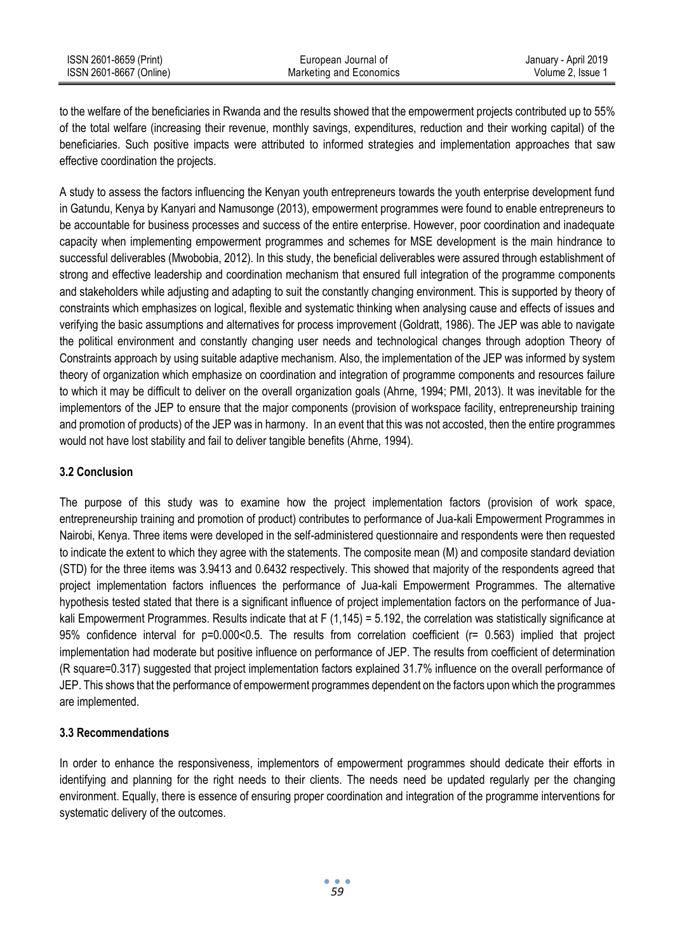to the welfare of the beneficiaries in Rwanda and the results showed that the empowerment projects contributed up to 55% of the total welfare (increasing their revenue, monthly savings, expenditures, reduction and their working capital) of the beneficiaries. Such positive impacts were attributed to informed strategies and implementation approaches that saw effective coordination the projects.

A study to assess the factors influencing the Kenyan youth entrepreneurs towards the youth enterprise development fund in Gatundu, Kenya by Kanyari and Namusonge (2013), empowerment programmes were found to enable entrepreneurs to be accountable for business processes and success of the entire enterprise. However, poor coordination and inadequate capacity when implementing empowerment programmes and schemes for MSE development is the main hindrance to successful deliverables (Mwobobia, 2012). In this study, the beneficial deliverables were assured through establishment of strong and effective leadership and coordination mechanism that ensured full integration of the programme components and stakeholders while adjusting and adapting to suit the constantly changing environment. This is supported by theory of constraints which emphasizes on logical, flexible and systematic thinking when analysing cause and effects of issues and verifying the basic assumptions and alternatives for process improvement (Goldratt, 1986). The JEP was able to navigate the political environment and constantly changing user needs and technological changes through adoption Theory of Constraints approach by using suitable adaptive mechanism. Also, the implementation of the JEP was informed by system theory of organization which emphasize on coordination and integration of programme components and resources failure to which it may be difficult to deliver on the overall organization goals (Ahrne, 1994; PMI, 2013). It was inevitable for the implementors of the JEP to ensure that the major components (provision of workspace facility, entrepreneurship training and promotion of products) of the JEP was in harmony. In an event that this was not accosted, then the entire programmes would not have lost stability and fail to deliver tangible benefits (Ahrne, 1994).

## **3.2 Conclusion**

The purpose of this study was to examine how the project implementation factors (provision of work space, entrepreneurship training and promotion of product) contributes to performance of Jua-kali Empowerment Programmes in Nairobi, Kenya. Three items were developed in the self-administered questionnaire and respondents were then requested to indicate the extent to which they agree with the statements. The composite mean (M) and composite standard deviation (STD) for the three items was 3.9413 and 0.6432 respectively. This showed that majority of the respondents agreed that project implementation factors influences the performance of Jua-kali Empowerment Programmes. The alternative hypothesis tested stated that there is a significant influence of project implementation factors on the performance of Juakali Empowerment Programmes. Results indicate that at  $F(1,145) = 5.192$ , the correlation was statistically significance at 95% confidence interval for p=0.000<0.5. The results from correlation coefficient (r= 0.563) implied that project implementation had moderate but positive influence on performance of JEP. The results from coefficient of determination (R square=0.317) suggested that project implementation factors explained 31.7% influence on the overall performance of JEP. This shows that the performance of empowerment programmes dependent on the factors upon which the programmes are implemented.

## **3.3 Recommendations**

In order to enhance the responsiveness, implementors of empowerment programmes should dedicate their efforts in identifying and planning for the right needs to their clients. The needs need be updated regularly per the changing environment. Equally, there is essence of ensuring proper coordination and integration of the programme interventions for systematic delivery of the outcomes.